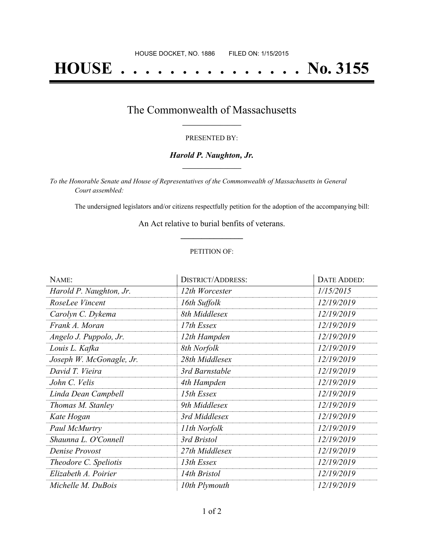# **HOUSE . . . . . . . . . . . . . . . No. 3155**

### The Commonwealth of Massachusetts **\_\_\_\_\_\_\_\_\_\_\_\_\_\_\_\_\_**

#### PRESENTED BY:

#### *Harold P. Naughton, Jr.* **\_\_\_\_\_\_\_\_\_\_\_\_\_\_\_\_\_**

*To the Honorable Senate and House of Representatives of the Commonwealth of Massachusetts in General Court assembled:*

The undersigned legislators and/or citizens respectfully petition for the adoption of the accompanying bill:

An Act relative to burial benfits of veterans. **\_\_\_\_\_\_\_\_\_\_\_\_\_\_\_**

#### PETITION OF:

| NAME:                    | <b>DISTRICT/ADDRESS:</b> | DATE ADDED: |
|--------------------------|--------------------------|-------------|
| Harold P. Naughton, Jr.  | 12th Worcester           | 1/15/2015   |
| RoseLee Vincent          | 16th Suffolk             | 12/19/2019  |
| Carolyn C. Dykema        | 8th Middlesex            | 12/19/2019  |
| Frank A. Moran           | 17th Essex               | 12/19/2019  |
| Angelo J. Puppolo, Jr.   | 12th Hampden             | 12/19/2019  |
| Louis L. Kafka           | 8th Norfolk              | 12/19/2019  |
| Joseph W. McGonagle, Jr. | 28th Middlesex           | 12/19/2019  |
| David T. Vieira          | 3rd Barnstable           | 12/19/2019  |
| John C. Velis            | 4th Hampden              | 12/19/2019  |
| Linda Dean Campbell      | 15th Essex               | 12/19/2019  |
| Thomas M. Stanley        | 9th Middlesex            | 12/19/2019  |
| Kate Hogan               | 3rd Middlesex            | 12/19/2019  |
| Paul McMurtry            | 11th Norfolk             | 12/19/2019  |
| Shaunna L. O'Connell     | 3rd Bristol              | 12/19/2019  |
| Denise Provost           | 27th Middlesex           | 12/19/2019  |
| Theodore C. Speliotis    | 13th Essex               | 12/19/2019  |
| Elizabeth A. Poirier     | 14th Bristol             | 12/19/2019  |
| Michelle M. DuBois       | 10th Plymouth            | 12/19/2019  |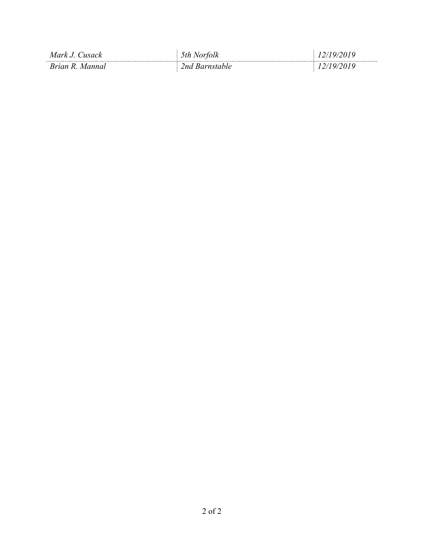| Mark J.<br>'usack  | ortolk<br>.th     | $\mathbf{U}$ |
|--------------------|-------------------|--------------|
| Brian R.<br>Mannal | 'arnstable<br>!nd |              |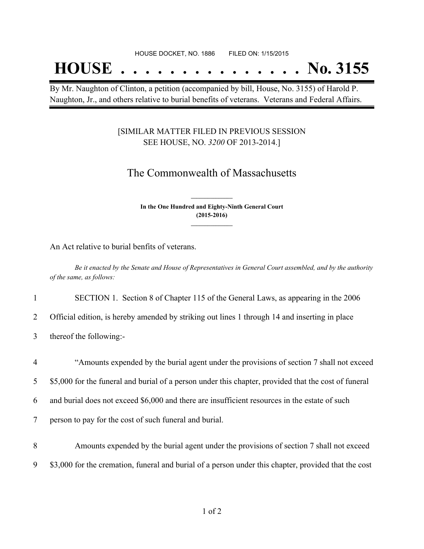## **HOUSE . . . . . . . . . . . . . . . No. 3155**

By Mr. Naughton of Clinton, a petition (accompanied by bill, House, No. 3155) of Harold P. Naughton, Jr., and others relative to burial benefits of veterans. Veterans and Federal Affairs.

#### [SIMILAR MATTER FILED IN PREVIOUS SESSION SEE HOUSE, NO. *3200* OF 2013-2014.]

## The Commonwealth of Massachusetts

**In the One Hundred and Eighty-Ninth General Court (2015-2016) \_\_\_\_\_\_\_\_\_\_\_\_\_\_\_**

**\_\_\_\_\_\_\_\_\_\_\_\_\_\_\_**

An Act relative to burial benfits of veterans.

Be it enacted by the Senate and House of Representatives in General Court assembled, and by the authority *of the same, as follows:*

1 SECTION 1. Section 8 of Chapter 115 of the General Laws, as appearing in the 2006

2 Official edition, is hereby amended by striking out lines 1 through 14 and inserting in place

3 thereof the following:-

 "Amounts expended by the burial agent under the provisions of section 7 shall not exceed \$5,000 for the funeral and burial of a person under this chapter, provided that the cost of funeral and burial does not exceed \$6,000 and there are insufficient resources in the estate of such person to pay for the cost of such funeral and burial. Amounts expended by the burial agent under the provisions of section 7 shall not exceed

9 \$3,000 for the cremation, funeral and burial of a person under this chapter, provided that the cost